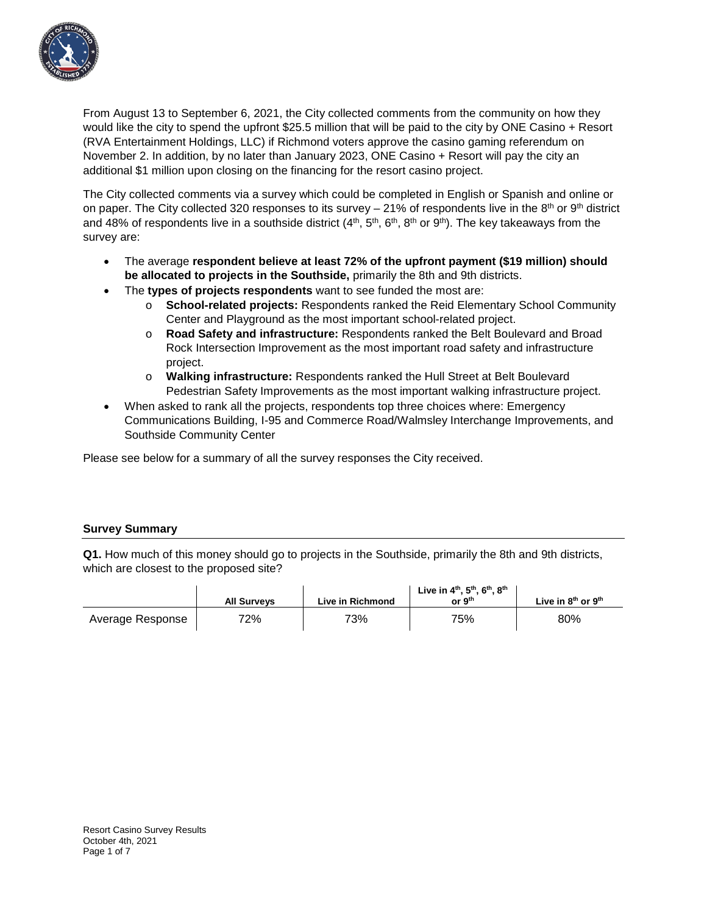

From August 13 to September 6, 2021, the City collected comments from the community on how they would like the city to spend the upfront \$25.5 million that will be paid to the city by ONE Casino + Resort (RVA Entertainment Holdings, LLC) if Richmond voters approve the casino gaming referendum on November 2. In addition, by no later than January 2023, ONE Casino + Resort will pay the city an additional \$1 million upon closing on the financing for the resort casino project.

The City collected comments via a survey which could be completed in English or Spanish and online or on paper. The City collected 320 responses to its survey  $-21\%$  of respondents live in the 8<sup>th</sup> or 9<sup>th</sup> district and 48% of respondents live in a southside district ( $4<sup>th</sup>$ ,  $5<sup>th</sup>$ ,  $6<sup>th</sup>$ ,  $8<sup>th</sup>$  or  $9<sup>th</sup>$ ). The key takeaways from the survey are:

- The average **respondent believe at least 72% of the upfront payment (\$19 million) should be allocated to projects in the Southside,** primarily the 8th and 9th districts.
- The **types of projects respondents** want to see funded the most are:
	- o **School-related projects:** Respondents ranked the Reid Elementary School Community Center and Playground as the most important school-related project.
	- o **Road Safety and infrastructure:** Respondents ranked the Belt Boulevard and Broad Rock Intersection Improvement as the most important road safety and infrastructure project.
	- o **Walking infrastructure:** Respondents ranked the Hull Street at Belt Boulevard Pedestrian Safety Improvements as the most important walking infrastructure project.
- When asked to rank all the projects, respondents top three choices where: Emergency Communications Building, I-95 and Commerce Road/Walmsley Interchange Improvements, and Southside Community Center

Please see below for a summary of all the survey responses the City received.

#### **Survey Summary**

**Q1.** How much of this money should go to projects in the Southside, primarily the 8th and 9th districts, which are closest to the proposed site?

|                  | <b>All Surveys</b> | Live in Richmond | Live in $4^{th}$ , $5^{th}$ , $6^{th}$ , $8^{th}$<br>or 9 <sup>th</sup> | Live in $8th$ or $9th$ |
|------------------|--------------------|------------------|-------------------------------------------------------------------------|------------------------|
| Average Response | 72%                | 73%              | 75%                                                                     | 80%                    |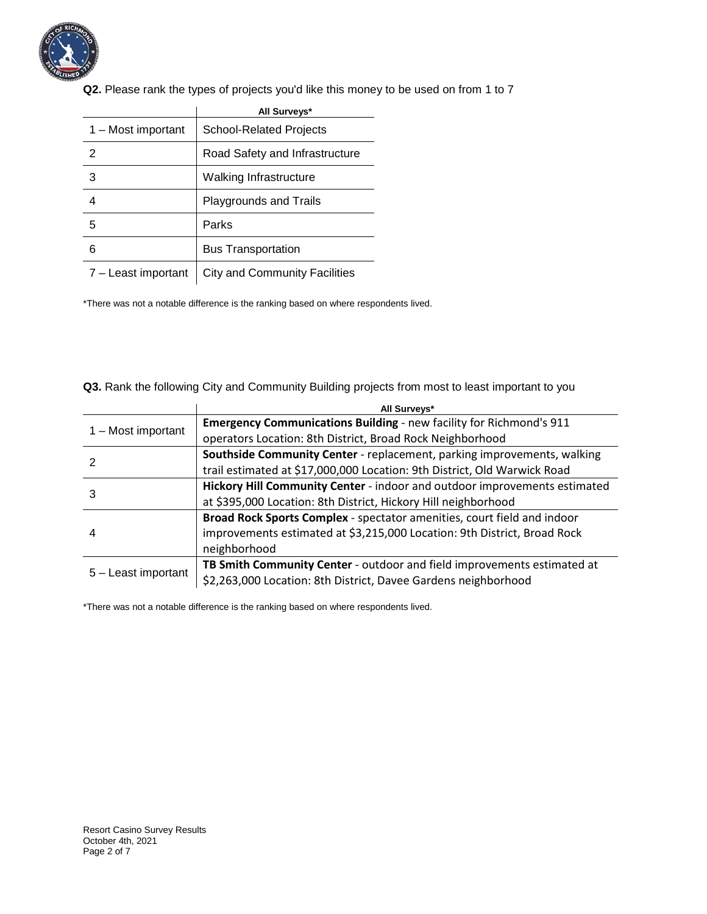

**Q2.** Please rank the types of projects you'd like this money to be used on from 1 to 7

|                     | All Surveys*                   |
|---------------------|--------------------------------|
| 1 – Most important  | School-Related Projects        |
| 2                   | Road Safety and Infrastructure |
| 3                   | Walking Infrastructure         |
|                     | Playgrounds and Trails         |
| 5                   | Parks                          |
| 6                   | <b>Bus Transportation</b>      |
| 7 - Least important | City and Community Facilities  |

\*There was not a notable difference is the ranking based on where respondents lived.

**Q3.** Rank the following City and Community Building projects from most to least important to you

|                     | All Surveys*                                                               |
|---------------------|----------------------------------------------------------------------------|
| 1 – Most important  | <b>Emergency Communications Building - new facility for Richmond's 911</b> |
|                     | operators Location: 8th District, Broad Rock Neighborhood                  |
|                     | Southside Community Center - replacement, parking improvements, walking    |
|                     | trail estimated at \$17,000,000 Location: 9th District, Old Warwick Road   |
| 3                   | Hickory Hill Community Center - indoor and outdoor improvements estimated  |
|                     | at \$395,000 Location: 8th District, Hickory Hill neighborhood             |
|                     | Broad Rock Sports Complex - spectator amenities, court field and indoor    |
|                     | improvements estimated at \$3,215,000 Location: 9th District, Broad Rock   |
|                     | neighborhood                                                               |
| 5 - Least important | TB Smith Community Center - outdoor and field improvements estimated at    |
|                     | \$2,263,000 Location: 8th District, Davee Gardens neighborhood             |

\*There was not a notable difference is the ranking based on where respondents lived.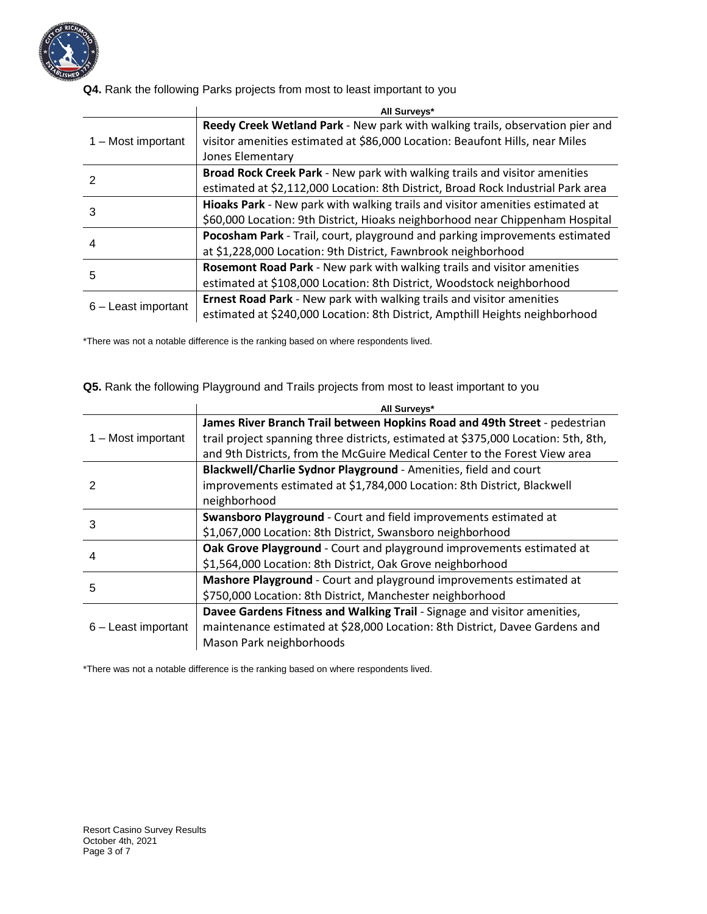

**Q4.** Rank the following Parks projects from most to least important to you

|                     | All Surveys*                                                                     |  |  |
|---------------------|----------------------------------------------------------------------------------|--|--|
|                     | Reedy Creek Wetland Park - New park with walking trails, observation pier and    |  |  |
| 1 – Most important  | visitor amenities estimated at \$86,000 Location: Beaufont Hills, near Miles     |  |  |
|                     | Jones Elementary                                                                 |  |  |
|                     | Broad Rock Creek Park - New park with walking trails and visitor amenities       |  |  |
|                     | estimated at \$2,112,000 Location: 8th District, Broad Rock Industrial Park area |  |  |
| 3                   | Hioaks Park - New park with walking trails and visitor amenities estimated at    |  |  |
|                     | \$60,000 Location: 9th District, Hioaks neighborhood near Chippenham Hospital    |  |  |
|                     | Pocosham Park - Trail, court, playground and parking improvements estimated      |  |  |
| 4                   | at \$1,228,000 Location: 9th District, Fawnbrook neighborhood                    |  |  |
| 5                   | Rosemont Road Park - New park with walking trails and visitor amenities          |  |  |
|                     | estimated at \$108,000 Location: 8th District, Woodstock neighborhood            |  |  |
| 6 - Least important | Ernest Road Park - New park with walking trails and visitor amenities            |  |  |
|                     | estimated at \$240,000 Location: 8th District, Ampthill Heights neighborhood     |  |  |

\*There was not a notable difference is the ranking based on where respondents lived.

**Q5.** Rank the following Playground and Trails projects from most to least important to you

|                       | All Surveys*                                                                       |  |  |
|-----------------------|------------------------------------------------------------------------------------|--|--|
|                       | James River Branch Trail between Hopkins Road and 49th Street - pedestrian         |  |  |
| 1 – Most important    | trail project spanning three districts, estimated at \$375,000 Location: 5th, 8th, |  |  |
|                       | and 9th Districts, from the McGuire Medical Center to the Forest View area         |  |  |
|                       | Blackwell/Charlie Sydnor Playground - Amenities, field and court                   |  |  |
|                       | improvements estimated at \$1,784,000 Location: 8th District, Blackwell            |  |  |
|                       | neighborhood                                                                       |  |  |
| 3                     | Swansboro Playground - Court and field improvements estimated at                   |  |  |
|                       | \$1,067,000 Location: 8th District, Swansboro neighborhood                         |  |  |
| 4                     | Oak Grove Playground - Court and playground improvements estimated at              |  |  |
|                       | \$1,564,000 Location: 8th District, Oak Grove neighborhood                         |  |  |
| 5                     | Mashore Playground - Court and playground improvements estimated at                |  |  |
|                       | \$750,000 Location: 8th District, Manchester neighborhood                          |  |  |
| $6$ – Least important | Davee Gardens Fitness and Walking Trail - Signage and visitor amenities,           |  |  |
|                       | maintenance estimated at \$28,000 Location: 8th District, Davee Gardens and        |  |  |
|                       | Mason Park neighborhoods                                                           |  |  |

\*There was not a notable difference is the ranking based on where respondents lived.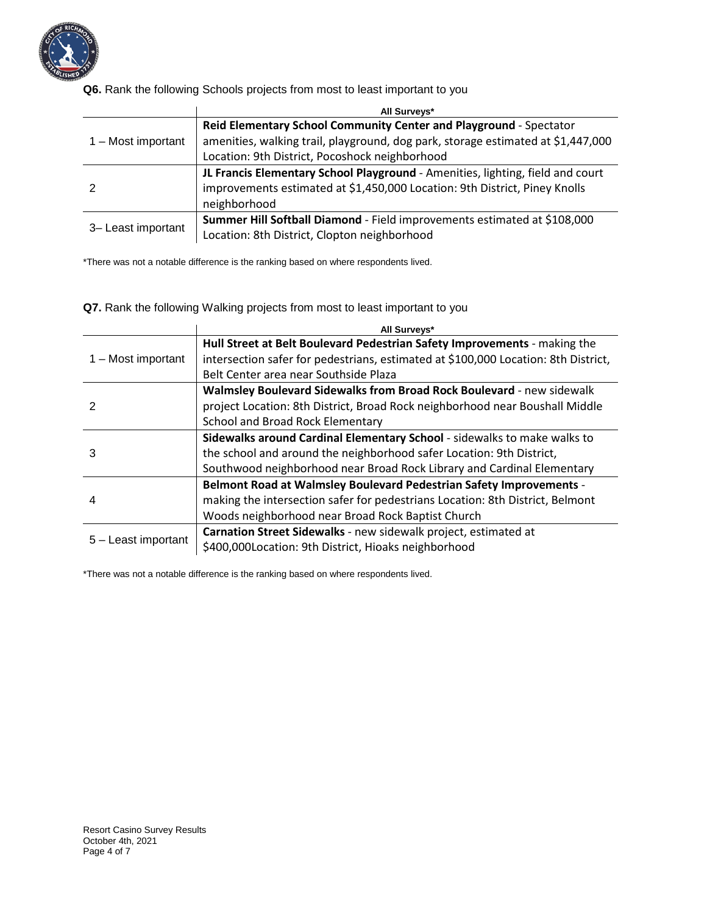

#### **Q6.** Rank the following Schools projects from most to least important to you

|                    | All Surveys*                                                                     |
|--------------------|----------------------------------------------------------------------------------|
|                    | Reid Elementary School Community Center and Playground - Spectator               |
| 1 – Most important | amenities, walking trail, playground, dog park, storage estimated at \$1,447,000 |
|                    | Location: 9th District, Pocoshock neighborhood                                   |
|                    | JL Francis Elementary School Playground - Amenities, lighting, field and court   |
|                    | improvements estimated at \$1,450,000 Location: 9th District, Piney Knolls       |
|                    | neighborhood                                                                     |
| 3-Least important  | Summer Hill Softball Diamond - Field improvements estimated at \$108,000         |
|                    | Location: 8th District, Clopton neighborhood                                     |

\*There was not a notable difference is the ranking based on where respondents lived.

**Q7.** Rank the following Walking projects from most to least important to you

|                     | <b>All Surveys*</b>                                                                |  |  |
|---------------------|------------------------------------------------------------------------------------|--|--|
|                     | Hull Street at Belt Boulevard Pedestrian Safety Improvements - making the          |  |  |
| 1 – Most important  | intersection safer for pedestrians, estimated at \$100,000 Location: 8th District, |  |  |
|                     | Belt Center area near Southside Plaza                                              |  |  |
|                     | Walmsley Boulevard Sidewalks from Broad Rock Boulevard - new sidewalk              |  |  |
|                     | project Location: 8th District, Broad Rock neighborhood near Boushall Middle       |  |  |
|                     | School and Broad Rock Elementary                                                   |  |  |
|                     | Sidewalks around Cardinal Elementary School - sidewalks to make walks to           |  |  |
| 3                   | the school and around the neighborhood safer Location: 9th District,               |  |  |
|                     | Southwood neighborhood near Broad Rock Library and Cardinal Elementary             |  |  |
| 4                   | Belmont Road at Walmsley Boulevard Pedestrian Safety Improvements -                |  |  |
|                     | making the intersection safer for pedestrians Location: 8th District, Belmont      |  |  |
|                     | Woods neighborhood near Broad Rock Baptist Church                                  |  |  |
| 5 - Least important | Carnation Street Sidewalks - new sidewalk project, estimated at                    |  |  |
|                     | \$400,000Location: 9th District, Hioaks neighborhood                               |  |  |

\*There was not a notable difference is the ranking based on where respondents lived.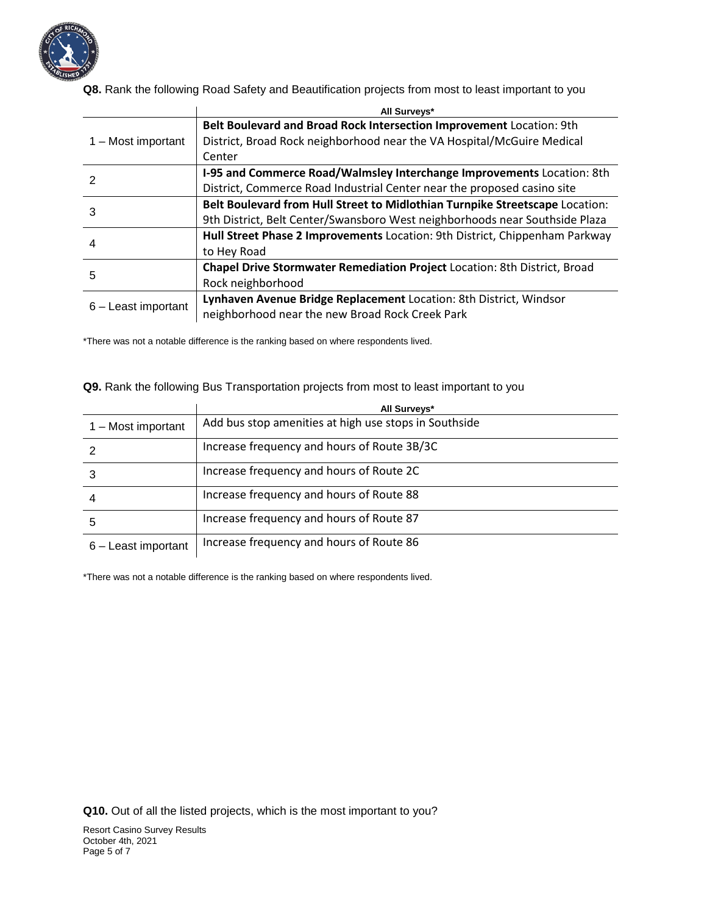

**Q8.** Rank the following Road Safety and Beautification projects from most to least important to you

|                     | All Surveys*                                                                 |
|---------------------|------------------------------------------------------------------------------|
|                     | Belt Boulevard and Broad Rock Intersection Improvement Location: 9th         |
| 1 – Most important  | District, Broad Rock neighborhood near the VA Hospital/McGuire Medical       |
|                     | Center                                                                       |
|                     | I-95 and Commerce Road/Walmsley Interchange Improvements Location: 8th       |
|                     | District, Commerce Road Industrial Center near the proposed casino site      |
|                     | Belt Boulevard from Hull Street to Midlothian Turnpike Streetscape Location: |
| 3                   | 9th District, Belt Center/Swansboro West neighborhoods near Southside Plaza  |
| 4                   | Hull Street Phase 2 Improvements Location: 9th District, Chippenham Parkway  |
|                     | to Hey Road                                                                  |
| 5                   | Chapel Drive Stormwater Remediation Project Location: 8th District, Broad    |
|                     | Rock neighborhood                                                            |
| 6 - Least important | Lynhaven Avenue Bridge Replacement Location: 8th District, Windsor           |
|                     | neighborhood near the new Broad Rock Creek Park                              |

\*There was not a notable difference is the ranking based on where respondents lived.

**Q9.** Rank the following Bus Transportation projects from most to least important to you

|                     | All Surveys*                                          |
|---------------------|-------------------------------------------------------|
| 1 – Most important  | Add bus stop amenities at high use stops in Southside |
|                     | Increase frequency and hours of Route 3B/3C           |
|                     | Increase frequency and hours of Route 2C              |
| 4                   | Increase frequency and hours of Route 88              |
| 5                   | Increase frequency and hours of Route 87              |
| 6 - Least important | Increase frequency and hours of Route 86              |

\*There was not a notable difference is the ranking based on where respondents lived.

**Q10.** Out of all the listed projects, which is the most important to you?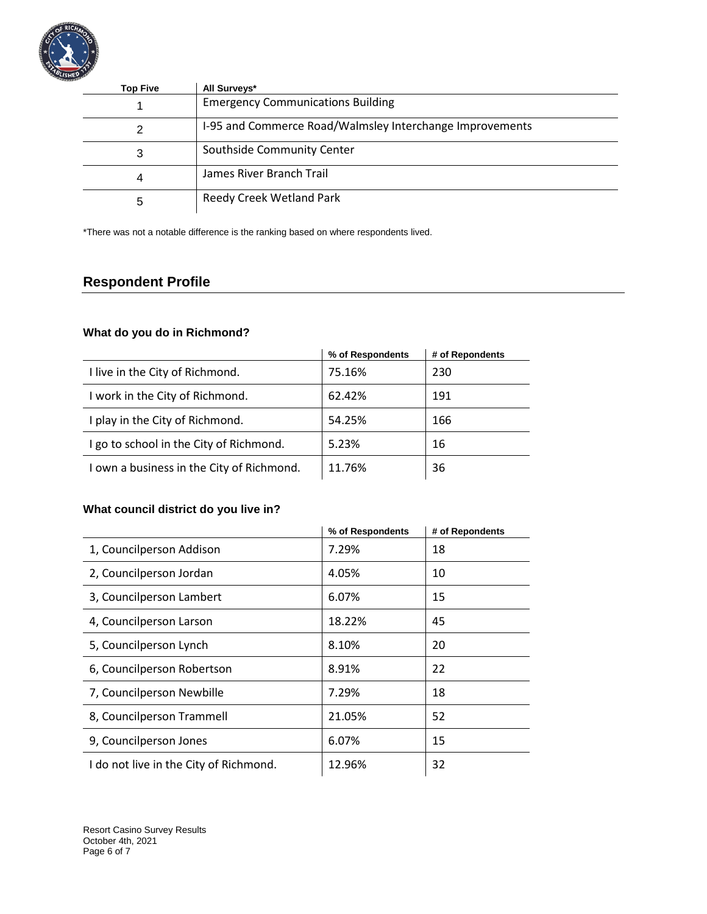

| <b>Top Five</b> | All Surveys*                                             |
|-----------------|----------------------------------------------------------|
|                 | <b>Emergency Communications Building</b>                 |
| 2               | I-95 and Commerce Road/Walmsley Interchange Improvements |
| 3               | Southside Community Center                               |
| 4               | James River Branch Trail                                 |
| 5               | Reedy Creek Wetland Park                                 |

\*There was not a notable difference is the ranking based on where respondents lived.

# **Respondent Profile**

### **What do you do in Richmond?**

|                                           | % of Respondents | # of Repondents |
|-------------------------------------------|------------------|-----------------|
| I live in the City of Richmond.           | 75.16%           | 230             |
| I work in the City of Richmond.           | 62.42%           | 191             |
| I play in the City of Richmond.           | 54.25%           | 166             |
| I go to school in the City of Richmond.   | 5.23%            | 16              |
| I own a business in the City of Richmond. | 11.76%           | 36              |

### **What council district do you live in?**

|                                        | % of Respondents | # of Repondents |
|----------------------------------------|------------------|-----------------|
| 1, Councilperson Addison               | 7.29%            | 18              |
| 2, Councilperson Jordan                | 4.05%            | 10              |
| 3, Councilperson Lambert               | 6.07%            | 15              |
| 4, Councilperson Larson                | 18.22%           | 45              |
| 5, Councilperson Lynch                 | 8.10%            | 20              |
| 6, Councilperson Robertson             | 8.91%            | 22              |
| 7, Councilperson Newbille              | 7.29%            | 18              |
| 8, Councilperson Trammell              | 21.05%           | 52              |
| 9, Councilperson Jones                 | 6.07%            | 15              |
| I do not live in the City of Richmond. | 12.96%           | 32              |